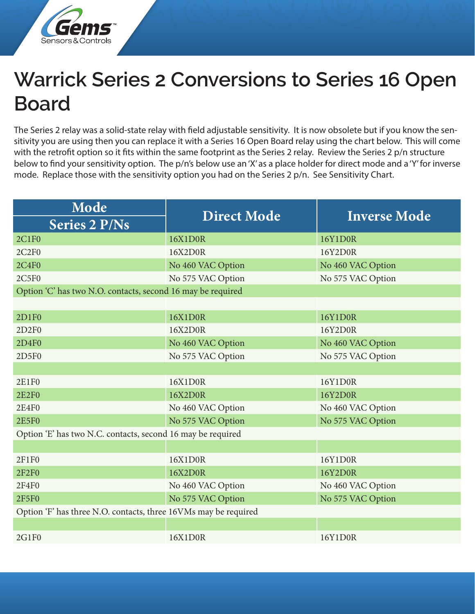

## **Warrick Series 2 Conversions to Series 16 Open Board**

The Series 2 relay was a solid-state relay with field adjustable sensitivity. It is now obsolete but if you know the sensitivity you are using then you can replace it with a Series 16 Open Board relay using the chart below. This will come with the retrofit option so it fits within the same footprint as the Series 2 relay. Review the Series 2 p/n structure below to find your sensitivity option. The p/n's below use an 'X' as a place holder for direct mode and a 'Y' for inverse mode. Replace those with the sensitivity option you had on the Series 2 p/n. See Sensitivity Chart.

| Mode                                                            | <b>Direct Mode</b> | <b>Inverse Mode</b> |  |  |
|-----------------------------------------------------------------|--------------------|---------------------|--|--|
| <b>Series 2 P/Ns</b>                                            |                    |                     |  |  |
| <b>2C1F0</b>                                                    | 16X1D0R            | 16Y1D0R             |  |  |
| 2C2F0                                                           | 16X2D0R            | 16Y2D0R             |  |  |
| <b>2C4F0</b>                                                    | No 460 VAC Option  | No 460 VAC Option   |  |  |
| 2C5F0                                                           | No 575 VAC Option  | No 575 VAC Option   |  |  |
| Option 'C' has two N.O. contacts, second 16 may be required     |                    |                     |  |  |
|                                                                 |                    |                     |  |  |
| 2D1F0                                                           | 16X1D0R            | 16Y1D0R             |  |  |
| 2D2F0                                                           | 16X2D0R            | 16Y2D0R             |  |  |
| 2D4F0                                                           | No 460 VAC Option  | No 460 VAC Option   |  |  |
| 2D5F0                                                           | No 575 VAC Option  | No 575 VAC Option   |  |  |
|                                                                 |                    |                     |  |  |
| <b>2E1F0</b>                                                    | 16X1D0R            | 16Y1D0R             |  |  |
| <b>2E2F0</b>                                                    | 16X2D0R            | 16Y2D0R             |  |  |
| <b>2E4F0</b>                                                    | No 460 VAC Option  | No 460 VAC Option   |  |  |
| <b>2E5F0</b>                                                    | No 575 VAC Option  | No 575 VAC Option   |  |  |
| Option 'E' has two N.C. contacts, second 16 may be required     |                    |                     |  |  |
|                                                                 |                    |                     |  |  |
| 2F1F0                                                           | 16X1D0R            | 16Y1D0R             |  |  |
| <b>2F2F0</b>                                                    | 16X2D0R            | 16Y2D0R             |  |  |
| <b>2F4F0</b>                                                    | No 460 VAC Option  | No 460 VAC Option   |  |  |
| <b>2F5F0</b>                                                    | No 575 VAC Option  | No 575 VAC Option   |  |  |
| Option 'F' has three N.O. contacts, three 16VMs may be required |                    |                     |  |  |
|                                                                 |                    |                     |  |  |
| 2G1F0                                                           | 16X1D0R            | 16Y1D0R             |  |  |